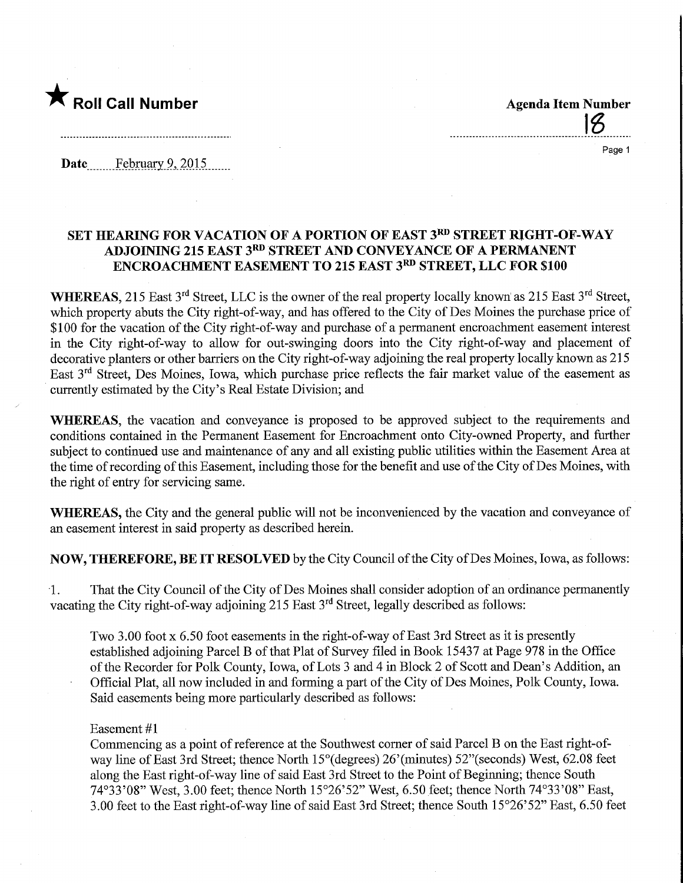

Date February 9, 2015

<u>16 </u>

Page 1

## SET HEARING FOR VACATION OF A PORTION OF EAST 3RD STREET RIGHT-OF-WAY ADJOINING 215 EAST 3RD STREET AND CONVEYANCE OF A PERMANENT ENCROACHMENT EASEMENT TO 215 EAST 3RD STREET, LLC FOR \$100

WHEREAS, 215 East 3<sup>rd</sup> Street, LLC is the owner of the real property locally known as 215 East 3<sup>rd</sup> Street, which property abuts the City right-of-way, and has offered to the City of Des Moines the purchase price of \$100 for the vacation of the City right-of-way and purchase of a permanent encroachment easement interest in the City right-of-way to allow for out-swinging doors into the City right-of-way and placement of decorative planters or other barriers on the City right-of-way adjoining the real property locally known as 215 East 3<sup>rd</sup> Street, Des Moines, Iowa, which purchase price reflects the fair market value of the easement as currently estimated by the City's Real Estate Division; and

WHEREAS, the vacation and conveyance is proposed to be approved subject to the requirements and conditions contained in the Permanent Easement for Encroachment onto City-owned Property, and further subject to continued use and maintenance of any and all existing public utilities within the Easement Area at the time of recording of this Easement, including those for the benefit and use of the City of Des Moines, with the right of entry for servicing same.

WHEREAS, the City and the general public will not be inconvenienced by the vacation and conveyance of an easement interest in said property as described herein.

NOW, THEREFORE, BE IT RESOLVED by the City Council of the City ofDes Moines, Iowa, as follows:

1. That the City Council of the City of Des Moines shall consider adoption of an ordinance permanently vacating the City right-of-way adjoining 215 East 3<sup>rd</sup> Street, legally described as follows:

Two 3.00 foot x 6.50 foot easements in the right-of-way of East 3rd Street as it is presently established adjoining Parcel B of that Plat of Survey filed in Book 15437 at Page 978 in the Office of the Recorder for Polk County, Iowa, of Lots 3 and 4 in Block 2 of Scott and Dean's Addition, an Official Plat, all now included in and forming a part of the City of Des Moines, Polk County, Iowa. Said easements being more particularly described as follows:

## Easement #1

Commencing as a point of reference at the Southwest comer of said Parcel B on the East right-ofway line of East 3rd Street; thence North 15°(degrees) 26'(minutes) 52"(seconds) West, 62.08 feet along the East right-of-way line of said East 3rd Street to the Point of Beginning; thence South 74°33'08" West, 3.00 feet; thence North 15°26'52" West, 6.50 feet; thence North 74°33'08" East, 3.00 feet to the East right-of-way line of said East 3rd Street; thence South 15°26'52" East, 6.50 feet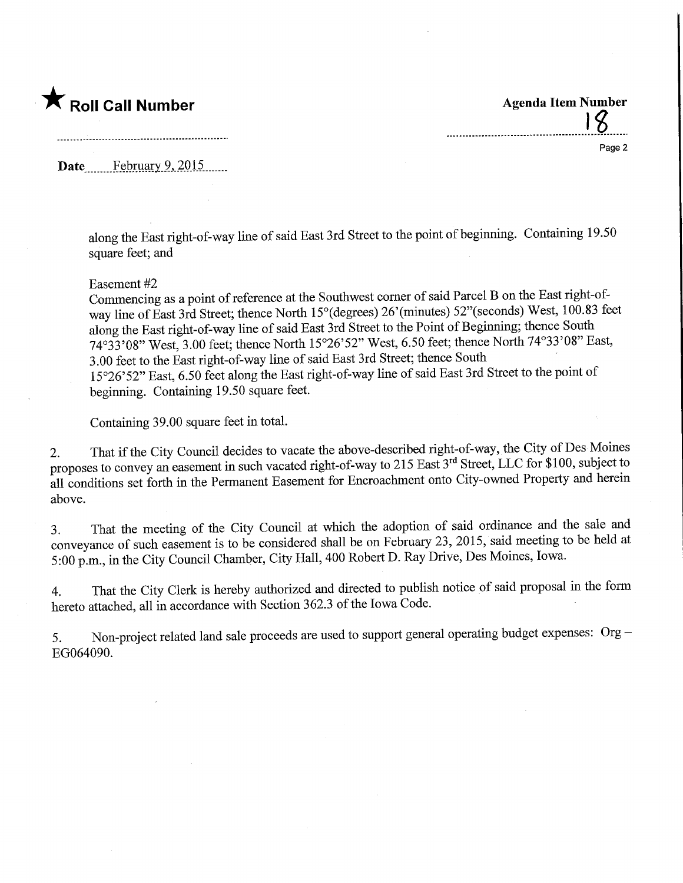

 $\delta$ Page 2

Date February 9, 2015.

along the East right-of-way line of said East 3rd Street to the point of beginning. Containing 19.50 square feet; and

## Easement #2

Commencing as a point of reference at the Southwest comer of said Parcel B on the East right-ofway line of East 3rd Street; thence North 15°(degrees) 26'(minutes) 52"(seconds) West, 100.83 feet along the East right-of-way line of said East 3rd Street to the Point of Beginning; thence South 74°33'08" West, 3.00 feet; thence North 15°26'52" West, 6.50 feet; thence North 74°33'08" East, 3.00 feet to the East right-of-way line of said East 3rd Street; thence South 15°26'52" East, 6.50 feet along the East right-of-way line of said East 3rd Street to the point of beginning. Containing 19.50 square feet.

Containing 39.00 square feet in total.

2. That if the City Council decides to vacate the above-described right-of-way, the City of Des Moines proposes to convey an easement in such vacated right-of-way to 215 East 3rd Street, LLC for \$100, subject to all conditions set forth in the Permanent Easement for Encroachment onto City-owned Property and herein above.

3. That the meeting of the City Council at which the adoption of said ordinance and the sale and conveyance of such easement is to be considered shall be on February 23, 2015, said meeting to be held at 5:00 p.m., in the City Council Chamber, City Hall, 400 Robert D. Ray Drive, Des Moines, Iowa.

4. That the City Clerk is hereby authorized and directed to publish notice of said proposal in the form hereto attached, all in accordance with Section 362.3 of the Iowa Code.

5. Non-project related land sale proceeds are used to support general operating budget expenses:  $Org -$ EG064090.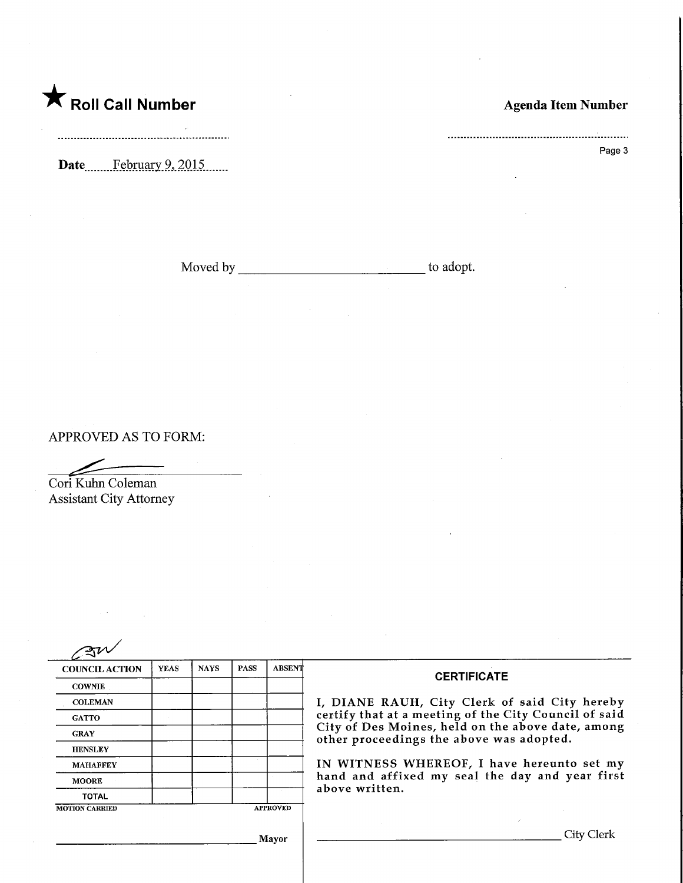

Date........February 9, 2015.......

Moved by to adopt.

APPROVED AS TO FORM:

Cori Kuhn Coleman Assistant City Attorney

| <b>COUNCIL ACTION</b> | <b>YEAS</b> | <b>NAYS</b> | <b>PASS</b> | <b>ABSENT</b>   | <b>CERTIFICATE</b>                                                                                              |  |  |
|-----------------------|-------------|-------------|-------------|-----------------|-----------------------------------------------------------------------------------------------------------------|--|--|
| <b>COWNIE</b>         |             |             |             |                 |                                                                                                                 |  |  |
| <b>COLEMAN</b>        |             |             |             |                 | I, DIANE RAUH, City Clerk of said City hereby<br>certify that at a meeting of the City Council of said          |  |  |
| <b>GATTO</b>          |             |             |             |                 |                                                                                                                 |  |  |
| <b>GRAY</b>           |             |             |             |                 | City of Des Moines, held on the above date, among<br>other proceedings the above was adopted.                   |  |  |
| <b>HENSLEY</b>        |             |             |             |                 | IN WITNESS WHEREOF, I have hereunto set my<br>hand and affixed my seal the day and year first<br>above written. |  |  |
| <b>MAHAFFEY</b>       |             |             |             |                 |                                                                                                                 |  |  |
| <b>MOORE</b>          |             |             |             |                 |                                                                                                                 |  |  |
| <b>TOTAL</b>          |             |             |             |                 |                                                                                                                 |  |  |
| <b>MOTION CARRIED</b> |             |             |             | <b>APPROVED</b> |                                                                                                                 |  |  |
|                       |             |             |             | <b>Mayor</b>    | City Clerk                                                                                                      |  |  |

. . . . . . . . . . . Page 3